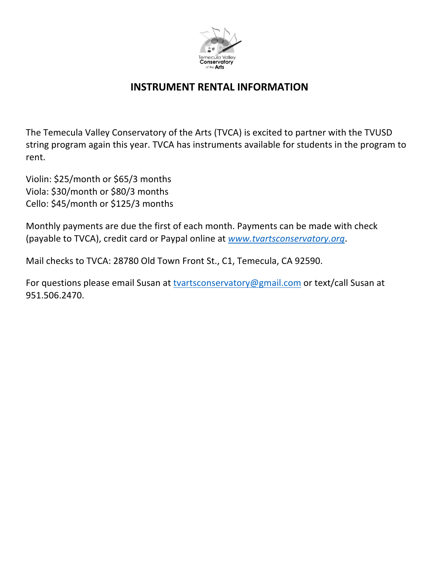

## **INSTRUMENT RENTAL INFORMATION**

The Temecula Valley Conservatory of the Arts (TVCA) is excited to partner with the TVUSD string program again this year. TVCA has instruments available for students in the program to rent.

Violin: \$25/month or \$65/3 months Viola: \$30/month or \$80/3 months Cello: \$45/month or \$125/3 months

Monthly payments are due the first of each month. Payments can be made with check (payable to TVCA), credit card or Paypal online at *www.tvartsconservatory.org*.

Mail checks to TVCA: 28780 Old Town Front St., C1, Temecula, CA 92590.

For questions please email Susan at tvartsconservatory@gmail.com or text/call Susan at 951.506.2470.